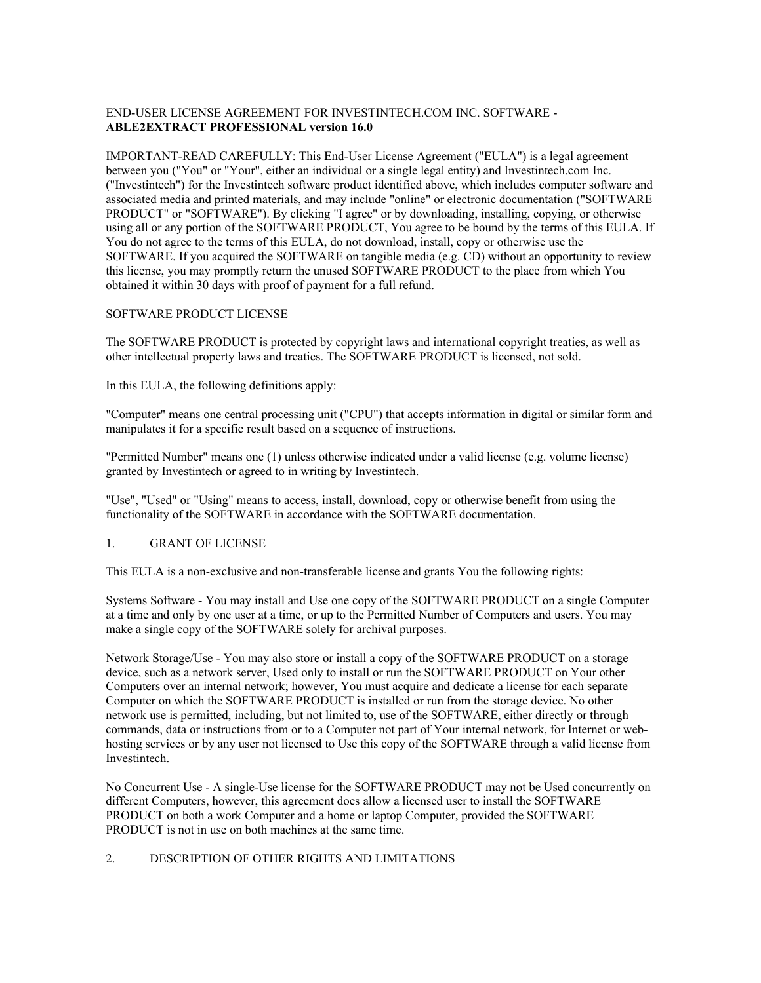# END-USER LICENSE AGREEMENT FOR INVESTINTECH.COM INC. SOFTWARE - **ABLE2EXTRACT PROFESSIONAL version 16.0**

IMPORTANT-READ CAREFULLY: This End-User License Agreement ("EULA") is a legal agreement between you ("You" or "Your", either an individual or a single legal entity) and Investintech.com Inc. ("Investintech") for the Investintech software product identified above, which includes computer software and associated media and printed materials, and may include "online" or electronic documentation ("SOFTWARE PRODUCT" or "SOFTWARE"). By clicking "I agree" or by downloading, installing, copying, or otherwise using all or any portion of the SOFTWARE PRODUCT, You agree to be bound by the terms of this EULA. If You do not agree to the terms of this EULA, do not download, install, copy or otherwise use the SOFTWARE. If you acquired the SOFTWARE on tangible media (e.g. CD) without an opportunity to review this license, you may promptly return the unused SOFTWARE PRODUCT to the place from which You obtained it within 30 days with proof of payment for a full refund.

#### SOFTWARE PRODUCT LICENSE

The SOFTWARE PRODUCT is protected by copyright laws and international copyright treaties, as well as other intellectual property laws and treaties. The SOFTWARE PRODUCT is licensed, not sold.

In this EULA, the following definitions apply:

"Computer" means one central processing unit ("CPU") that accepts information in digital or similar form and manipulates it for a specific result based on a sequence of instructions.

"Permitted Number" means one (1) unless otherwise indicated under a valid license (e.g. volume license) granted by Investintech or agreed to in writing by Investintech.

"Use", "Used" or "Using" means to access, install, download, copy or otherwise benefit from using the functionality of the SOFTWARE in accordance with the SOFTWARE documentation.

# 1. GRANT OF LICENSE

This EULA is a non-exclusive and non-transferable license and grants You the following rights:

Systems Software - You may install and Use one copy of the SOFTWARE PRODUCT on a single Computer at a time and only by one user at a time, or up to the Permitted Number of Computers and users. You may make a single copy of the SOFTWARE solely for archival purposes.

Network Storage/Use - You may also store or install a copy of the SOFTWARE PRODUCT on a storage device, such as a network server, Used only to install or run the SOFTWARE PRODUCT on Your other Computers over an internal network; however, You must acquire and dedicate a license for each separate Computer on which the SOFTWARE PRODUCT is installed or run from the storage device. No other network use is permitted, including, but not limited to, use of the SOFTWARE, either directly or through commands, data or instructions from or to a Computer not part of Your internal network, for Internet or webhosting services or by any user not licensed to Use this copy of the SOFTWARE through a valid license from Investintech.

No Concurrent Use - A single-Use license for the SOFTWARE PRODUCT may not be Used concurrently on different Computers, however, this agreement does allow a licensed user to install the SOFTWARE PRODUCT on both a work Computer and a home or laptop Computer, provided the SOFTWARE PRODUCT is not in use on both machines at the same time.

#### 2. DESCRIPTION OF OTHER RIGHTS AND LIMITATIONS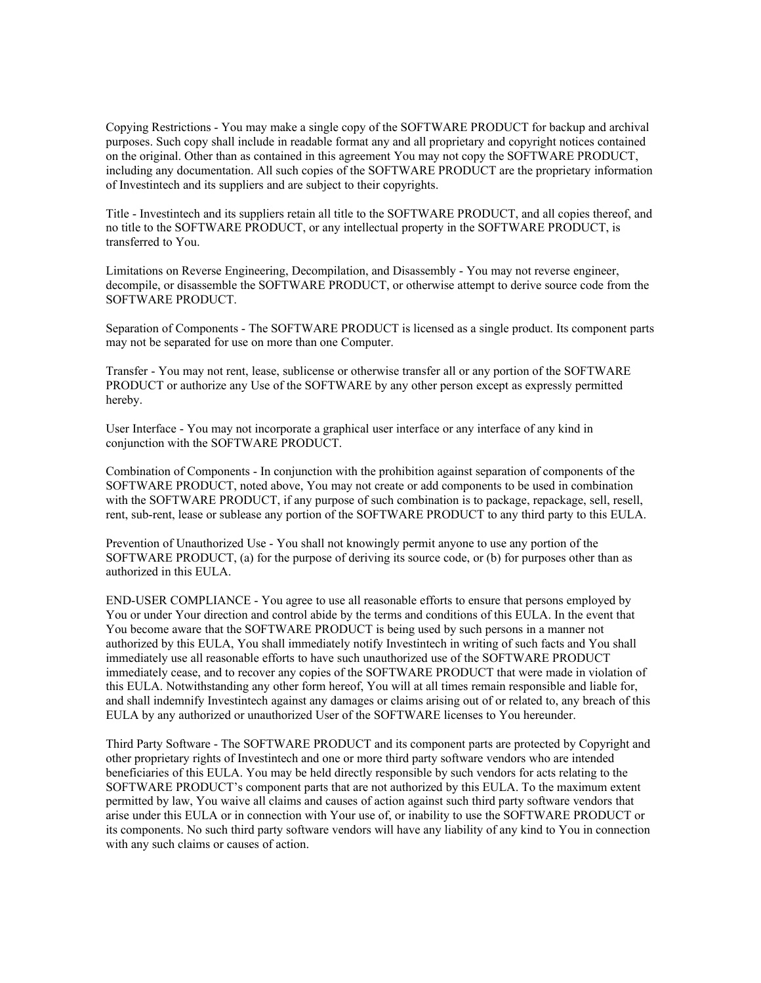Copying Restrictions - You may make a single copy of the SOFTWARE PRODUCT for backup and archival purposes. Such copy shall include in readable format any and all proprietary and copyright notices contained on the original. Other than as contained in this agreement You may not copy the SOFTWARE PRODUCT, including any documentation. All such copies of the SOFTWARE PRODUCT are the proprietary information of Investintech and its suppliers and are subject to their copyrights.

Title - Investintech and its suppliers retain all title to the SOFTWARE PRODUCT, and all copies thereof, and no title to the SOFTWARE PRODUCT, or any intellectual property in the SOFTWARE PRODUCT, is transferred to You.

Limitations on Reverse Engineering, Decompilation, and Disassembly - You may not reverse engineer, decompile, or disassemble the SOFTWARE PRODUCT, or otherwise attempt to derive source code from the SOFTWARE PRODUCT.

Separation of Components - The SOFTWARE PRODUCT is licensed as a single product. Its component parts may not be separated for use on more than one Computer.

Transfer - You may not rent, lease, sublicense or otherwise transfer all or any portion of the SOFTWARE PRODUCT or authorize any Use of the SOFTWARE by any other person except as expressly permitted hereby.

User Interface - You may not incorporate a graphical user interface or any interface of any kind in conjunction with the SOFTWARE PRODUCT.

Combination of Components - In conjunction with the prohibition against separation of components of the SOFTWARE PRODUCT, noted above, You may not create or add components to be used in combination with the SOFTWARE PRODUCT, if any purpose of such combination is to package, repackage, sell, resell, rent, sub-rent, lease or sublease any portion of the SOFTWARE PRODUCT to any third party to this EULA.

Prevention of Unauthorized Use - You shall not knowingly permit anyone to use any portion of the SOFTWARE PRODUCT, (a) for the purpose of deriving its source code, or (b) for purposes other than as authorized in this EULA.

END-USER COMPLIANCE - You agree to use all reasonable efforts to ensure that persons employed by You or under Your direction and control abide by the terms and conditions of this EULA. In the event that You become aware that the SOFTWARE PRODUCT is being used by such persons in a manner not authorized by this EULA, You shall immediately notify Investintech in writing of such facts and You shall immediately use all reasonable efforts to have such unauthorized use of the SOFTWARE PRODUCT immediately cease, and to recover any copies of the SOFTWARE PRODUCT that were made in violation of this EULA. Notwithstanding any other form hereof, You will at all times remain responsible and liable for, and shall indemnify Investintech against any damages or claims arising out of or related to, any breach of this EULA by any authorized or unauthorized User of the SOFTWARE licenses to You hereunder.

Third Party Software - The SOFTWARE PRODUCT and its component parts are protected by Copyright and other proprietary rights of Investintech and one or more third party software vendors who are intended beneficiaries of this EULA. You may be held directly responsible by such vendors for acts relating to the SOFTWARE PRODUCT's component parts that are not authorized by this EULA. To the maximum extent permitted by law, You waive all claims and causes of action against such third party software vendors that arise under this EULA or in connection with Your use of, or inability to use the SOFTWARE PRODUCT or its components. No such third party software vendors will have any liability of any kind to You in connection with any such claims or causes of action.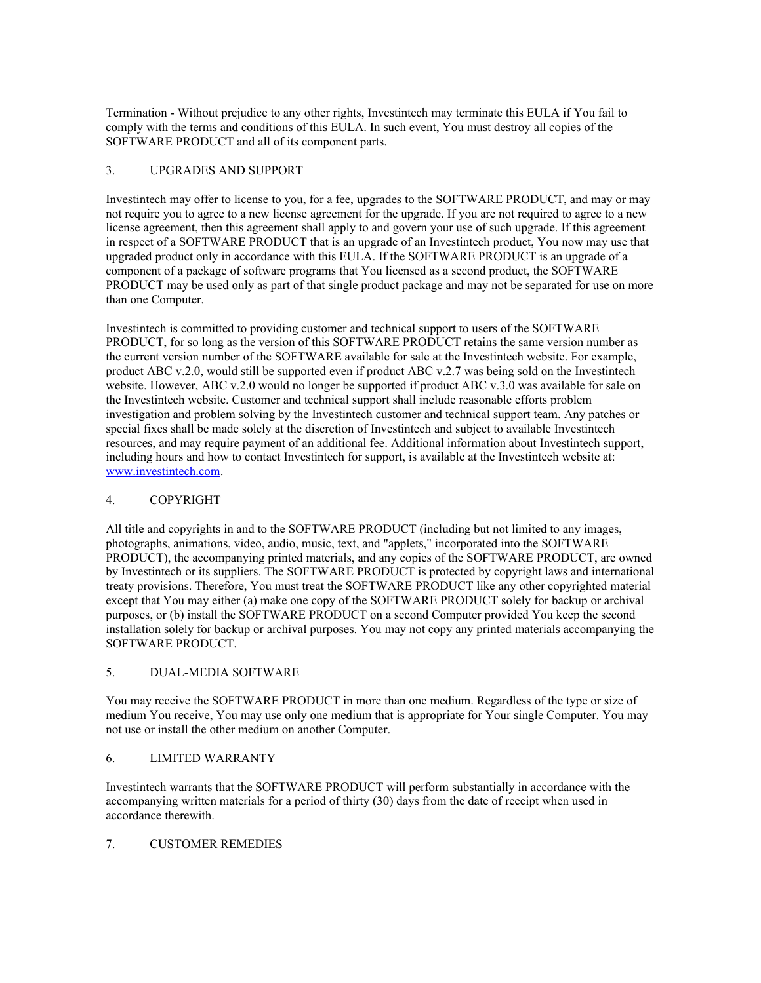Termination - Without prejudice to any other rights, Investintech may terminate this EULA if You fail to comply with the terms and conditions of this EULA. In such event, You must destroy all copies of the SOFTWARE PRODUCT and all of its component parts.

# 3. UPGRADES AND SUPPORT

Investintech may offer to license to you, for a fee, upgrades to the SOFTWARE PRODUCT, and may or may not require you to agree to a new license agreement for the upgrade. If you are not required to agree to a new license agreement, then this agreement shall apply to and govern your use of such upgrade. If this agreement in respect of a SOFTWARE PRODUCT that is an upgrade of an Investintech product, You now may use that upgraded product only in accordance with this EULA. If the SOFTWARE PRODUCT is an upgrade of a component of a package of software programs that You licensed as a second product, the SOFTWARE PRODUCT may be used only as part of that single product package and may not be separated for use on more than one Computer.

Investintech is committed to providing customer and technical support to users of the SOFTWARE PRODUCT, for so long as the version of this SOFTWARE PRODUCT retains the same version number as the current version number of the SOFTWARE available for sale at the Investintech website. For example, product ABC v.2.0, would still be supported even if product ABC v.2.7 was being sold on the Investintech website. However, ABC v.2.0 would no longer be supported if product ABC v.3.0 was available for sale on the Investintech website. Customer and technical support shall include reasonable efforts problem investigation and problem solving by the Investintech customer and technical support team. Any patches or special fixes shall be made solely at the discretion of Investintech and subject to available Investintech resources, and may require payment of an additional fee. Additional information about Investintech support, including hours and how to contact Investintech for support, is available at the Investintech website at: [www.investintech.com](http://www.investintech.com/).

# 4. COPYRIGHT

All title and copyrights in and to the SOFTWARE PRODUCT (including but not limited to any images, photographs, animations, video, audio, music, text, and "applets," incorporated into the SOFTWARE PRODUCT), the accompanying printed materials, and any copies of the SOFTWARE PRODUCT, are owned by Investintech or its suppliers. The SOFTWARE PRODUCT is protected by copyright laws and international treaty provisions. Therefore, You must treat the SOFTWARE PRODUCT like any other copyrighted material except that You may either (a) make one copy of the SOFTWARE PRODUCT solely for backup or archival purposes, or (b) install the SOFTWARE PRODUCT on a second Computer provided You keep the second installation solely for backup or archival purposes. You may not copy any printed materials accompanying the SOFTWARE PRODUCT.

# 5. DUAL-MEDIA SOFTWARE

You may receive the SOFTWARE PRODUCT in more than one medium. Regardless of the type or size of medium You receive, You may use only one medium that is appropriate for Your single Computer. You may not use or install the other medium on another Computer.

# 6. LIMITED WARRANTY

Investintech warrants that the SOFTWARE PRODUCT will perform substantially in accordance with the accompanying written materials for a period of thirty (30) days from the date of receipt when used in accordance therewith.

# 7. CUSTOMER REMEDIES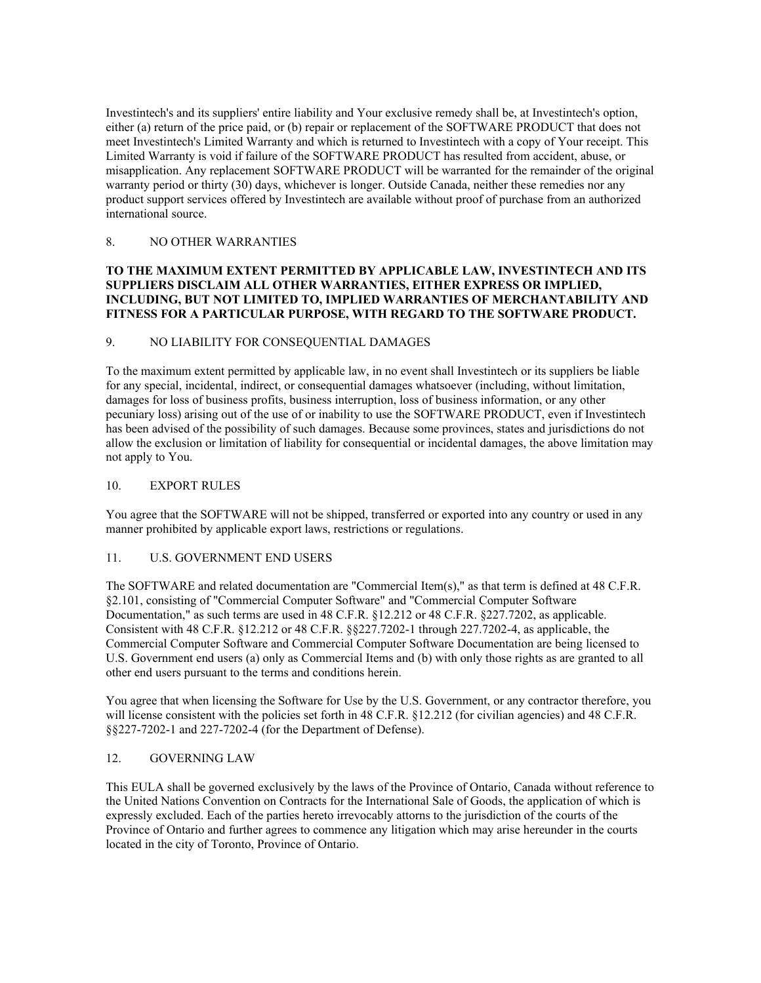Investintech's and its suppliers' entire liability and Your exclusive remedy shall be, at Investintech's option, either (a) return of the price paid, or (b) repair or replacement of the SOFTWARE PRODUCT that does not meet Investintech's Limited Warranty and which is returned to Investintech with a copy of Your receipt. This Limited Warranty is void if failure of the SOFTWARE PRODUCT has resulted from accident, abuse, or misapplication. Any replacement SOFTWARE PRODUCT will be warranted for the remainder of the original warranty period or thirty (30) days, whichever is longer. Outside Canada, neither these remedies nor any product support services offered by Investintech are available without proof of purchase from an authorized international source.

### 8. NO OTHER WARRANTIES

# **TO THE MAXIMUM EXTENT PERMITTED BY APPLICABLE LAW, INVESTINTECH AND ITS SUPPLIERS DISCLAIM ALL OTHER WARRANTIES, EITHER EXPRESS OR IMPLIED, INCLUDING, BUT NOT LIMITED TO, IMPLIED WARRANTIES OF MERCHANTABILITY AND FITNESS FOR A PARTICULAR PURPOSE, WITH REGARD TO THE SOFTWARE PRODUCT.**

#### 9. NO LIABILITY FOR CONSEQUENTIAL DAMAGES

To the maximum extent permitted by applicable law, in no event shall Investintech or its suppliers be liable for any special, incidental, indirect, or consequential damages whatsoever (including, without limitation, damages for loss of business profits, business interruption, loss of business information, or any other pecuniary loss) arising out of the use of or inability to use the SOFTWARE PRODUCT, even if Investintech has been advised of the possibility of such damages. Because some provinces, states and jurisdictions do not allow the exclusion or limitation of liability for consequential or incidental damages, the above limitation may not apply to You.

#### 10. EXPORT RULES

You agree that the SOFTWARE will not be shipped, transferred or exported into any country or used in any manner prohibited by applicable export laws, restrictions or regulations.

# 11. U.S. GOVERNMENT END USERS

The SOFTWARE and related documentation are "Commercial Item(s)," as that term is defined at 48 C.F.R. §2.101, consisting of "Commercial Computer Software" and "Commercial Computer Software Documentation," as such terms are used in 48 C.F.R. §12.212 or 48 C.F.R. §227.7202, as applicable. Consistent with 48 C.F.R. §12.212 or 48 C.F.R. §§227.7202-1 through 227.7202-4, as applicable, the Commercial Computer Software and Commercial Computer Software Documentation are being licensed to U.S. Government end users (a) only as Commercial Items and (b) with only those rights as are granted to all other end users pursuant to the terms and conditions herein.

You agree that when licensing the Software for Use by the U.S. Government, or any contractor therefore, you will license consistent with the policies set forth in 48 C.F.R. §12.212 (for civilian agencies) and 48 C.F.R. §§227-7202-1 and 227-7202-4 (for the Department of Defense).

# 12. GOVERNING LAW

This EULA shall be governed exclusively by the laws of the Province of Ontario, Canada without reference to the United Nations Convention on Contracts for the International Sale of Goods, the application of which is expressly excluded. Each of the parties hereto irrevocably attorns to the jurisdiction of the courts of the Province of Ontario and further agrees to commence any litigation which may arise hereunder in the courts located in the city of Toronto, Province of Ontario.